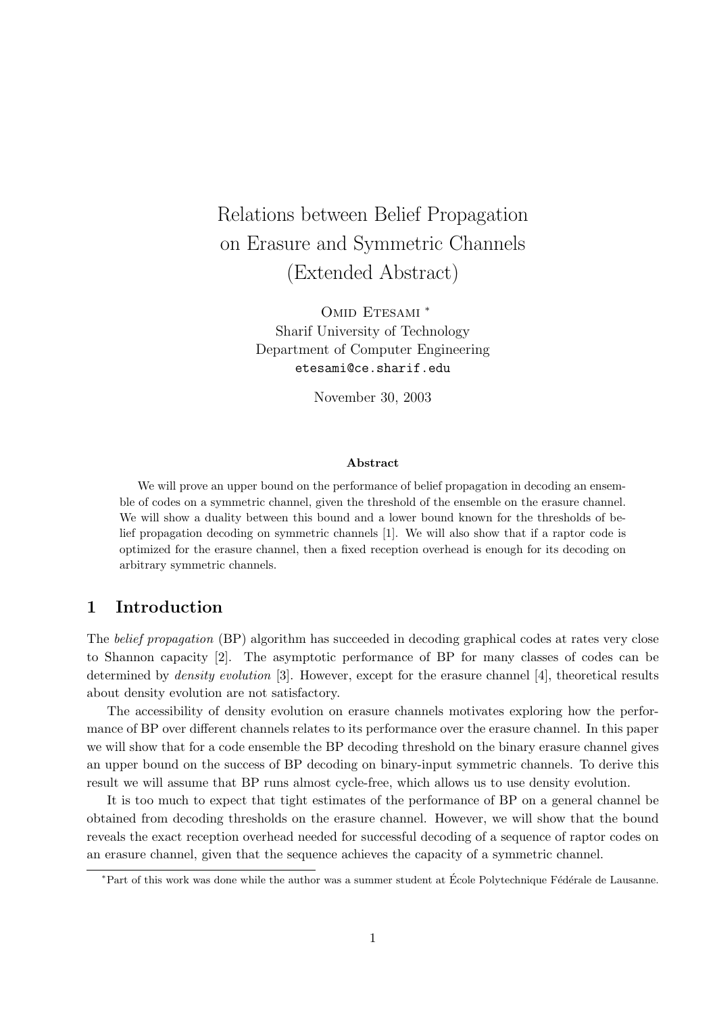# Relations between Belief Propagation on Erasure and Symmetric Channels (Extended Abstract)

OMID ETESAMI \* Sharif University of Technology Department of Computer Engineering etesami@ce.sharif.edu

November 30, 2003

#### Abstract

We will prove an upper bound on the performance of belief propagation in decoding an ensemble of codes on a symmetric channel, given the threshold of the ensemble on the erasure channel. We will show a duality between this bound and a lower bound known for the thresholds of belief propagation decoding on symmetric channels [1]. We will also show that if a raptor code is optimized for the erasure channel, then a fixed reception overhead is enough for its decoding on arbitrary symmetric channels.

### 1 Introduction

The *belief propagation* (BP) algorithm has succeeded in decoding graphical codes at rates very close to Shannon capacity [2]. The asymptotic performance of BP for many classes of codes can be determined by density evolution [3]. However, except for the erasure channel [4], theoretical results about density evolution are not satisfactory.

The accessibility of density evolution on erasure channels motivates exploring how the performance of BP over different channels relates to its performance over the erasure channel. In this paper we will show that for a code ensemble the BP decoding threshold on the binary erasure channel gives an upper bound on the success of BP decoding on binary-input symmetric channels. To derive this result we will assume that BP runs almost cycle-free, which allows us to use density evolution.

It is too much to expect that tight estimates of the performance of BP on a general channel be obtained from decoding thresholds on the erasure channel. However, we will show that the bound reveals the exact reception overhead needed for successful decoding of a sequence of raptor codes on an erasure channel, given that the sequence achieves the capacity of a symmetric channel.

<sup>\*</sup>Part of this work was done while the author was a summer student at École Polytechnique Fédérale de Lausanne.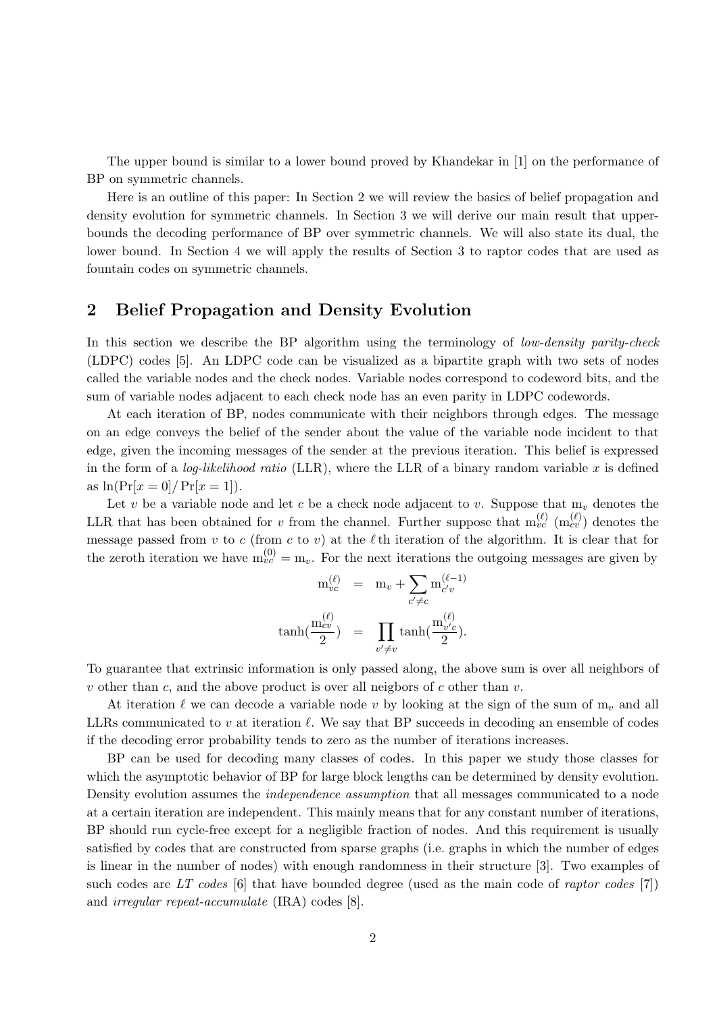The upper bound is similar to a lower bound proved by Khandekar in [1] on the performance of BP on symmetric channels.

Here is an outline of this paper: In Section 2 we will review the basics of belief propagation and density evolution for symmetric channels. In Section 3 we will derive our main result that upperbounds the decoding performance of BP over symmetric channels. We will also state its dual, the lower bound. In Section 4 we will apply the results of Section 3 to raptor codes that are used as fountain codes on symmetric channels.

# 2 Belief Propagation and Density Evolution

In this section we describe the BP algorithm using the terminology of *low-density parity-check* (LDPC) codes [5]. An LDPC code can be visualized as a bipartite graph with two sets of nodes called the variable nodes and the check nodes. Variable nodes correspond to codeword bits, and the sum of variable nodes adjacent to each check node has an even parity in LDPC codewords.

At each iteration of BP, nodes communicate with their neighbors through edges. The message on an edge conveys the belief of the sender about the value of the variable node incident to that edge, given the incoming messages of the sender at the previous iteration. This belief is expressed in the form of a *log-likelihood ratio* (LLR), where the LLR of a binary random variable x is defined as  $\ln(\Pr[x = 0] / \Pr[x = 1]).$ 

Let v be a variable node and let c be a check node adjacent to v. Suppose that  $m_v$  denotes the LLR that has been obtained for v from the channel. Further suppose that  $m_{vc}^{(\ell)}$   $(m_{cv}^{(\ell)})$  denotes the message passed from v to c (from c to v) at the  $\ell$  th iteration of the algorithm. It is clear that for the zeroth iteration we have  $m_{vc}^{(0)} = m_v$ . For the next iterations the outgoing messages are given by

$$
m_{vc}^{(\ell)} = m_v + \sum_{c' \neq c} m_{c'v}^{(\ell-1)}
$$
  

$$
\tanh(\frac{m_{cv}^{(\ell)}}{2}) = \prod_{v' \neq v} \tanh(\frac{m_{v'c}^{(\ell)}}{2}).
$$

To guarantee that extrinsic information is only passed along, the above sum is over all neighbors of v other than c, and the above product is over all neigbors of c other than v.

At iteration  $\ell$  we can decode a variable node v by looking at the sign of the sum of  $m_v$  and all LLRs communicated to v at iteration  $\ell$ . We say that BP succeeds in decoding an ensemble of codes if the decoding error probability tends to zero as the number of iterations increases.

BP can be used for decoding many classes of codes. In this paper we study those classes for which the asymptotic behavior of BP for large block lengths can be determined by density evolution. Density evolution assumes the independence assumption that all messages communicated to a node at a certain iteration are independent. This mainly means that for any constant number of iterations, BP should run cycle-free except for a negligible fraction of nodes. And this requirement is usually satisfied by codes that are constructed from sparse graphs (i.e. graphs in which the number of edges is linear in the number of nodes) with enough randomness in their structure [3]. Two examples of such codes are  $LT$  codes [6] that have bounded degree (used as the main code of *raptor codes* [7]) and irregular repeat-accumulate (IRA) codes [8].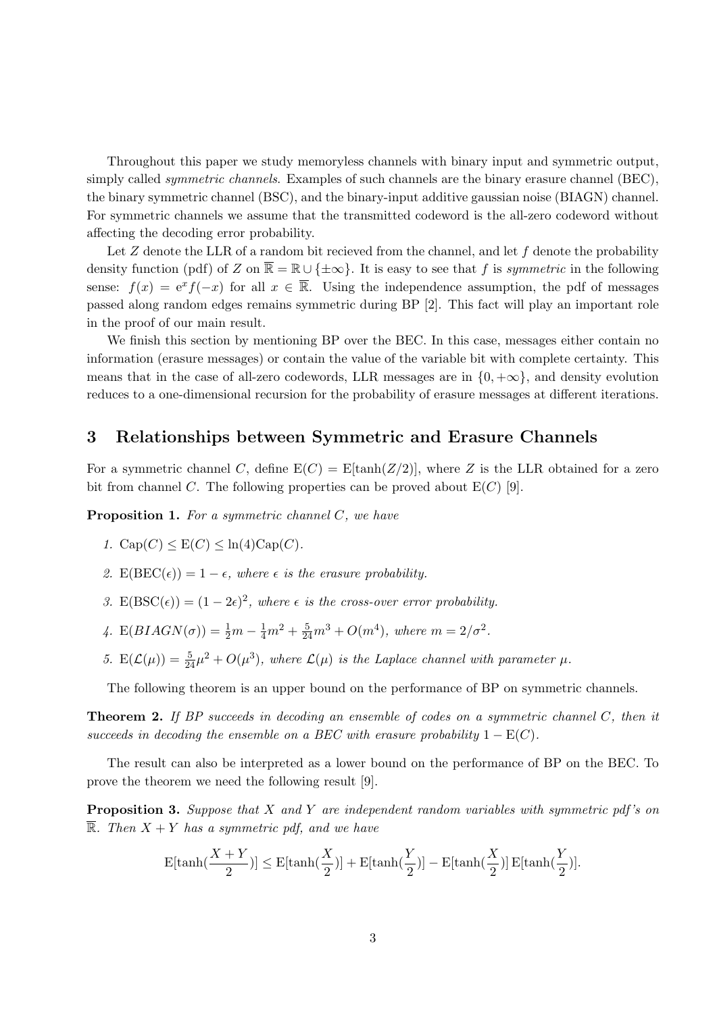Throughout this paper we study memoryless channels with binary input and symmetric output, simply called *symmetric channels*. Examples of such channels are the binary erasure channel (BEC), the binary symmetric channel (BSC), and the binary-input additive gaussian noise (BIAGN) channel. For symmetric channels we assume that the transmitted codeword is the all-zero codeword without affecting the decoding error probability.

Let  $Z$  denote the LLR of a random bit recieved from the channel, and let  $f$  denote the probability density function (pdf) of Z on  $\overline{\mathbb{R}} = \mathbb{R} \cup \{\pm \infty\}$ . It is easy to see that f is symmetric in the following sense:  $f(x) = e^x f(-x)$  for all  $x \in \overline{\mathbb{R}}$ . Using the independence assumption, the pdf of messages passed along random edges remains symmetric during BP [2]. This fact will play an important role in the proof of our main result.

We finish this section by mentioning BP over the BEC. In this case, messages either contain no information (erasure messages) or contain the value of the variable bit with complete certainty. This means that in the case of all-zero codewords, LLR messages are in  $\{0, +\infty\}$ , and density evolution reduces to a one-dimensional recursion for the probability of erasure messages at different iterations.

#### 3 Relationships between Symmetric and Erasure Channels

For a symmetric channel C, define  $E(C) = E[\tanh(Z/2)]$ , where Z is the LLR obtained for a zero bit from channel C. The following properties can be proved about  $E(C)$  [9].

**Proposition 1.** For a symmetric channel  $C$ , we have

1. 
$$
\text{Cap}(C) \leq E(C) \leq \ln(4)\text{Cap}(C)
$$
.

- 2.  $E(BEC(\epsilon)) = 1 \epsilon$ , where  $\epsilon$  is the erasure probability.
- 3.  $E( BSC(\epsilon)) = (1 2\epsilon)^2$ , where  $\epsilon$  is the cross-over error probability.
- 4.  $E(BIAGN(\sigma)) = \frac{1}{2}m \frac{1}{4}m^2 + \frac{5}{24}m^3 + O(m^4)$ , where  $m = 2/\sigma^2$ .
- 5.  $E(\mathcal{L}(\mu)) = \frac{5}{24}\mu^2 + O(\mu^3)$ , where  $\mathcal{L}(\mu)$  is the Laplace channel with parameter  $\mu$ .

The following theorem is an upper bound on the performance of BP on symmetric channels.

**Theorem 2.** If BP succeeds in decoding an ensemble of codes on a symmetric channel  $C$ , then it succeeds in decoding the ensemble on a BEC with erasure probability  $1 - E(C)$ .

The result can also be interpreted as a lower bound on the performance of BP on the BEC. To prove the theorem we need the following result [9].

**Proposition 3.** Suppose that X and Y are independent random variables with symmetric pdf's on  $\overline{\mathbb{R}}$ . Then  $X + Y$  has a symmetric pdf, and we have

$$
\mathbf{E}[\tanh(\frac{X+Y}{2})] \leq \mathbf{E}[\tanh(\frac{X}{2})] + \mathbf{E}[\tanh(\frac{Y}{2})] - \mathbf{E}[\tanh(\frac{X}{2})]\,\mathbf{E}[\tanh(\frac{Y}{2})].
$$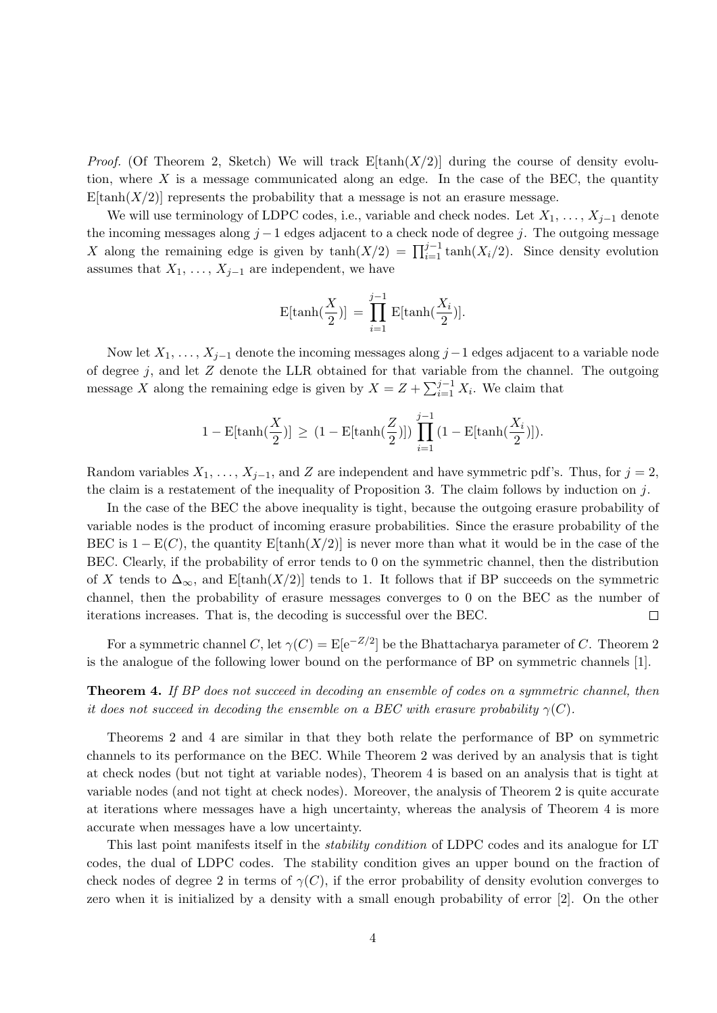*Proof.* (Of Theorem 2, Sketch) We will track  $E[\tanh(X/2)]$  during the course of density evolution, where  $X$  is a message communicated along an edge. In the case of the BEC, the quantity  $E[\tanh(X/2)]$  represents the probability that a message is not an erasure message.

We will use terminology of LDPC codes, i.e., variable and check nodes. Let  $X_1, \ldots, X_{j-1}$  denote the incoming messages along  $j-1$  edges adjacent to a check node of degree j. The outgoing message X along the remaining edge is given by  $\tanh(X/2) = \prod_{i=1}^{j-1} \tanh(X_i/2)$ . Since density evolution assumes that  $X_1, \ldots, X_{j-1}$  are independent, we have

$$
\mathrm{E}[\tanh(\frac{X}{2})] = \prod_{i=1}^{j-1} \mathrm{E}[\tanh(\frac{X_i}{2})].
$$

Now let  $X_1, \ldots, X_{j-1}$  denote the incoming messages along  $j-1$  edges adjacent to a variable node of degree  $j$ , and let  $Z$  denote the LLR obtained for that variable from the channel. The outgoing message X along the remaining edge is given by  $X = Z + \sum_{i=1}^{j-1} X_i$ . We claim that

$$
1 - \mathrm{E}[\tanh(\frac{X}{2})] \, \geq \, (1 - \mathrm{E}[\tanh(\frac{Z}{2})]) \, \prod_{i=1}^{j-1} \, (1 - \mathrm{E}[\tanh(\frac{X_i}{2})]).
$$

Random variables  $X_1, \ldots, X_{j-1}$ , and Z are independent and have symmetric pdf's. Thus, for  $j = 2$ , the claim is a restatement of the inequality of Proposition 3. The claim follows by induction on j.

In the case of the BEC the above inequality is tight, because the outgoing erasure probability of variable nodes is the product of incoming erasure probabilities. Since the erasure probability of the BEC is  $1 - E(C)$ , the quantity E[tanh(X/2)] is never more than what it would be in the case of the BEC. Clearly, if the probability of error tends to 0 on the symmetric channel, then the distribution of X tends to  $\Delta_{\infty}$ , and E[tanh(X/2)] tends to 1. It follows that if BP succeeds on the symmetric channel, then the probability of erasure messages converges to 0 on the BEC as the number of iterations increases. That is, the decoding is successful over the BEC.  $\Box$ 

For a symmetric channel C, let  $\gamma(C) = \mathbb{E}[\mathrm{e}^{-Z/2}]$  be the Bhattacharya parameter of C. Theorem 2 is the analogue of the following lower bound on the performance of BP on symmetric channels [1].

**Theorem 4.** If BP does not succeed in decoding an ensemble of codes on a symmetric channel, then it does not succeed in decoding the ensemble on a BEC with erasure probability  $\gamma(C)$ .

Theorems 2 and 4 are similar in that they both relate the performance of BP on symmetric channels to its performance on the BEC. While Theorem 2 was derived by an analysis that is tight at check nodes (but not tight at variable nodes), Theorem 4 is based on an analysis that is tight at variable nodes (and not tight at check nodes). Moreover, the analysis of Theorem 2 is quite accurate at iterations where messages have a high uncertainty, whereas the analysis of Theorem 4 is more accurate when messages have a low uncertainty.

This last point manifests itself in the stability condition of LDPC codes and its analogue for LT codes, the dual of LDPC codes. The stability condition gives an upper bound on the fraction of check nodes of degree 2 in terms of  $\gamma(C)$ , if the error probability of density evolution converges to zero when it is initialized by a density with a small enough probability of error [2]. On the other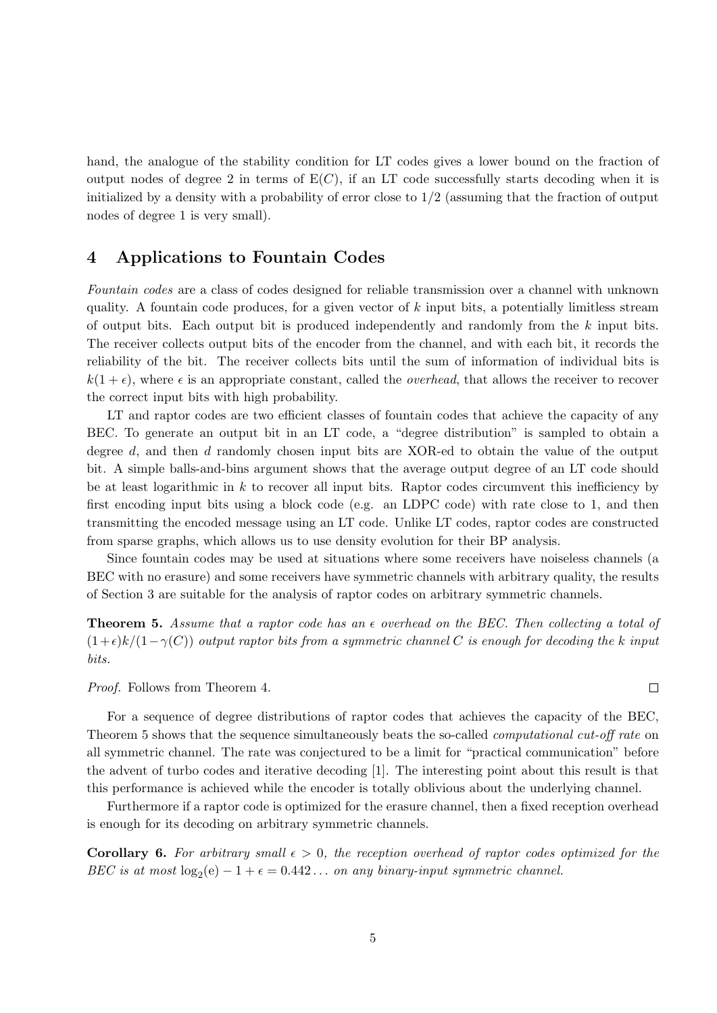hand, the analogue of the stability condition for LT codes gives a lower bound on the fraction of output nodes of degree 2 in terms of  $E(C)$ , if an LT code successfully starts decoding when it is initialized by a density with a probability of error close to  $1/2$  (assuming that the fraction of output nodes of degree 1 is very small).

# 4 Applications to Fountain Codes

Fountain codes are a class of codes designed for reliable transmission over a channel with unknown quality. A fountain code produces, for a given vector of  $k$  input bits, a potentially limitless stream of output bits. Each output bit is produced independently and randomly from the  $k$  input bits. The receiver collects output bits of the encoder from the channel, and with each bit, it records the reliability of the bit. The receiver collects bits until the sum of information of individual bits is  $k(1 + \epsilon)$ , where  $\epsilon$  is an appropriate constant, called the *overhead*, that allows the receiver to recover the correct input bits with high probability.

LT and raptor codes are two efficient classes of fountain codes that achieve the capacity of any BEC. To generate an output bit in an LT code, a "degree distribution" is sampled to obtain a degree d, and then d randomly chosen input bits are XOR-ed to obtain the value of the output bit. A simple balls-and-bins argument shows that the average output degree of an LT code should be at least logarithmic in  $k$  to recover all input bits. Raptor codes circumvent this inefficiency by first encoding input bits using a block code (e.g. an LDPC code) with rate close to 1, and then transmitting the encoded message using an LT code. Unlike LT codes, raptor codes are constructed from sparse graphs, which allows us to use density evolution for their BP analysis.

Since fountain codes may be used at situations where some receivers have noiseless channels (a BEC with no erasure) and some receivers have symmetric channels with arbitrary quality, the results of Section 3 are suitable for the analysis of raptor codes on arbitrary symmetric channels.

**Theorem 5.** Assume that a raptor code has an  $\epsilon$  overhead on the BEC. Then collecting a total of  $(1+\epsilon)k/(1-\gamma(C))$  output raptor bits from a symmetric channel C is enough for decoding the k input bits.

Proof. Follows from Theorem 4.

For a sequence of degree distributions of raptor codes that achieves the capacity of the BEC, Theorem 5 shows that the sequence simultaneously beats the so-called *computational cut-off rate* on all symmetric channel. The rate was conjectured to be a limit for "practical communication" before the advent of turbo codes and iterative decoding [1]. The interesting point about this result is that this performance is achieved while the encoder is totally oblivious about the underlying channel.

Furthermore if a raptor code is optimized for the erasure channel, then a fixed reception overhead is enough for its decoding on arbitrary symmetric channels.

**Corollary 6.** For arbitrary small  $\epsilon > 0$ , the reception overhead of raptor codes optimized for the BEC is at most  $log_2(e) - 1 + \epsilon = 0.442...$  on any binary-input symmetric channel.

5

 $\Box$